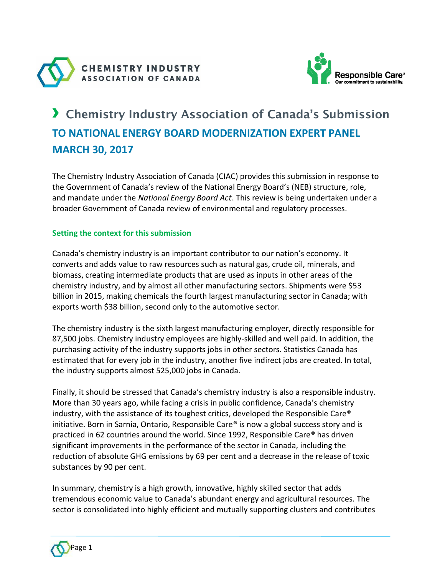



# › Chemistry Industry Association of Canada's Submission **TO NATIONAL ENERGY BOARD MODERNIZATION EXPERT PANEL MARCH 30, 2017**

The Chemistry Industry Association of Canada (CIAC) provides this submission in response to the Government of Canada's review of the National Energy Board's (NEB) structure, role, and mandate under the *National Energy Board Act*. This review is being undertaken under a broader Government of Canada review of environmental and regulatory processes.

## **Setting the context for this submission**

Canada's chemistry industry is an important contributor to our nation's economy. It converts and adds value to raw resources such as natural gas, crude oil, minerals, and biomass, creating intermediate products that are used as inputs in other areas of the chemistry industry, and by almost all other manufacturing sectors. Shipments were \$53 billion in 2015, making chemicals the fourth largest manufacturing sector in Canada; with exports worth \$38 billion, second only to the automotive sector.

The chemistry industry is the sixth largest manufacturing employer, directly responsible for 87,500 jobs. Chemistry industry employees are highly-skilled and well paid. In addition, the purchasing activity of the industry supports jobs in other sectors. Statistics Canada has estimated that for every job in the industry, another five indirect jobs are created. In total, the industry supports almost 525,000 jobs in Canada.

Finally, it should be stressed that Canada's chemistry industry is also a responsible industry. More than 30 years ago, while facing a crisis in public confidence, Canada's chemistry industry, with the assistance of its toughest critics, developed the Responsible Care® initiative. Born in Sarnia, Ontario, Responsible Care® is now a global success story and is practiced in 62 countries around the world. Since 1992, Responsible Care® has driven significant improvements in the performance of the sector in Canada, including the reduction of absolute GHG emissions by 69 per cent and a decrease in the release of toxic substances by 90 per cent.

In summary, chemistry is a high growth, innovative, highly skilled sector that adds tremendous economic value to Canada's abundant energy and agricultural resources. The sector is consolidated into highly efficient and mutually supporting clusters and contributes

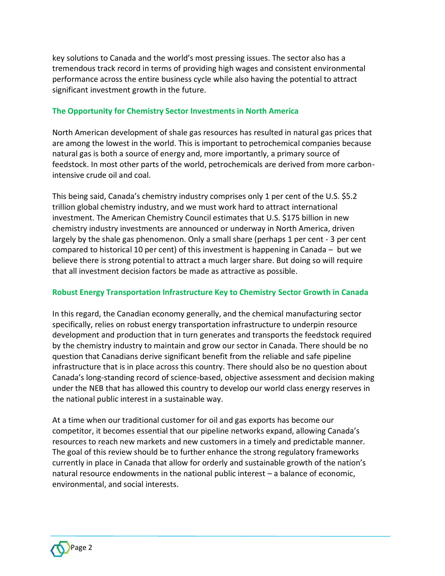key solutions to Canada and the world's most pressing issues. The sector also has a tremendous track record in terms of providing high wages and consistent environmental performance across the entire business cycle while also having the potential to attract significant investment growth in the future.

## **The Opportunity for Chemistry Sector Investments in North America**

North American development of shale gas resources has resulted in natural gas prices that are among the lowest in the world. This is important to petrochemical companies because natural gas is both a source of energy and, more importantly, a primary source of feedstock. In most other parts of the world, petrochemicals are derived from more carbonintensive crude oil and coal.

This being said, Canada's chemistry industry comprises only 1 per cent of the U.S. \$5.2 trillion global chemistry industry, and we must work hard to attract international investment. The American Chemistry Council estimates that U.S. \$175 billion in new chemistry industry investments are announced or underway in North America, driven largely by the shale gas phenomenon. Only a small share (perhaps 1 per cent - 3 per cent compared to historical 10 per cent) of this investment is happening in Canada – but we believe there is strong potential to attract a much larger share. But doing so will require that all investment decision factors be made as attractive as possible.

## **Robust Energy Transportation Infrastructure Key to Chemistry Sector Growth in Canada**

In this regard, the Canadian economy generally, and the chemical manufacturing sector specifically, relies on robust energy transportation infrastructure to underpin resource development and production that in turn generates and transports the feedstock required by the chemistry industry to maintain and grow our sector in Canada. There should be no question that Canadians derive significant benefit from the reliable and safe pipeline infrastructure that is in place across this country. There should also be no question about Canada's long-standing record of science-based, objective assessment and decision making under the NEB that has allowed this country to develop our world class energy reserves in the national public interest in a sustainable way.

At a time when our traditional customer for oil and gas exports has become our competitor, it becomes essential that our pipeline networks expand, allowing Canada's resources to reach new markets and new customers in a timely and predictable manner. The goal of this review should be to further enhance the strong regulatory frameworks currently in place in Canada that allow for orderly and sustainable growth of the nation's natural resource endowments in the national public interest – a balance of economic, environmental, and social interests.

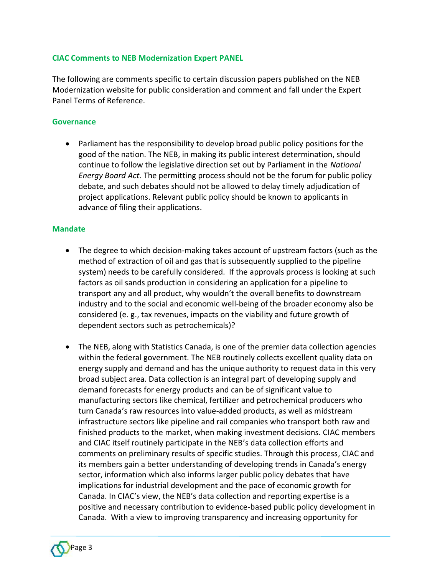### **CIAC Comments to NEB Modernization Expert PANEL**

The following are comments specific to certain discussion papers published on the NEB Modernization website for public consideration and comment and fall under the Expert Panel Terms of Reference.

#### **Governance**

• Parliament has the responsibility to develop broad public policy positions for the good of the nation. The NEB, in making its public interest determination, should continue to follow the legislative direction set out by Parliament in the *National Energy Board Act*. The permitting process should not be the forum for public policy debate, and such debates should not be allowed to delay timely adjudication of project applications. Relevant public policy should be known to applicants in advance of filing their applications.

#### **Mandate**

- The degree to which decision-making takes account of upstream factors (such as the method of extraction of oil and gas that is subsequently supplied to the pipeline system) needs to be carefully considered. If the approvals process is looking at such factors as oil sands production in considering an application for a pipeline to transport any and all product, why wouldn't the overall benefits to downstream industry and to the social and economic well-being of the broader economy also be considered (e. g., tax revenues, impacts on the viability and future growth of dependent sectors such as petrochemicals)?
- The NEB, along with Statistics Canada, is one of the premier data collection agencies within the federal government. The NEB routinely collects excellent quality data on energy supply and demand and has the unique authority to request data in this very broad subject area. Data collection is an integral part of developing supply and demand forecasts for energy products and can be of significant value to manufacturing sectors like chemical, fertilizer and petrochemical producers who turn Canada's raw resources into value-added products, as well as midstream infrastructure sectors like pipeline and rail companies who transport both raw and finished products to the market, when making investment decisions. CIAC members and CIAC itself routinely participate in the NEB's data collection efforts and comments on preliminary results of specific studies. Through this process, CIAC and its members gain a better understanding of developing trends in Canada's energy sector, information which also informs larger public policy debates that have implications for industrial development and the pace of economic growth for Canada. In CIAC's view, the NEB's data collection and reporting expertise is a positive and necessary contribution to evidence-based public policy development in Canada. With a view to improving transparency and increasing opportunity for